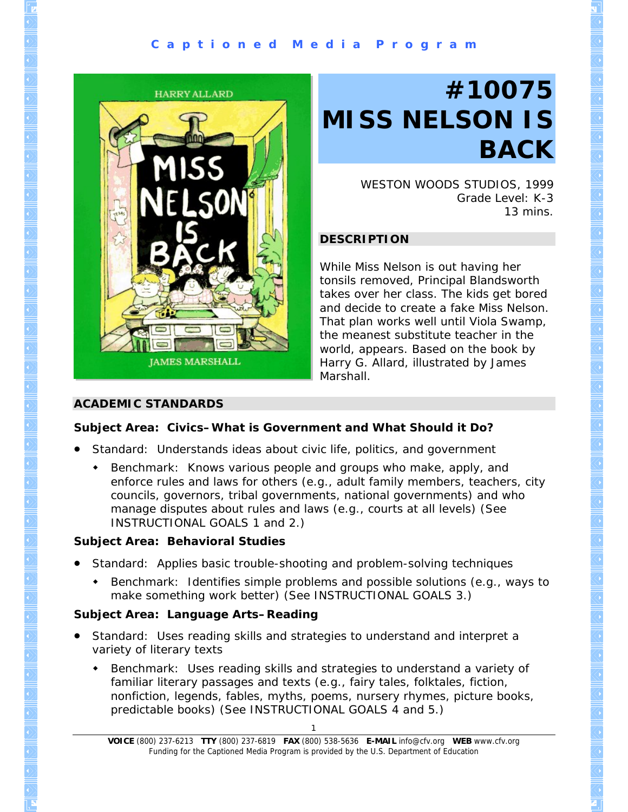## **C a p t i o n e d M e d i a P r o g r a m**

**HARRY ALLARD** 



# **#10075 MISS NELSON IS BACK**

WESTON WOODS STUDIOS, 1999 Grade Level: K-3 13 mins.

#### **DESCRIPTION**

While Miss Nelson is out having her tonsils removed, Principal Blandsworth takes over her class. The kids get bored and decide to create a fake Miss Nelson. That plan works well until Viola Swamp, the meanest substitute teacher in the world, appears. Based on the book by Harry G. Allard, illustrated by James Marshall.

#### **ACADEMIC STANDARDS**

#### **Subject Area: Civics–What is Government and What Should it Do?**

- Standard: Understands ideas about civic life, politics, and government
	- Benchmark: Knows various people and groups who make, apply, and enforce rules and laws for others (e.g., adult family members, teachers, city councils, governors, tribal governments, national governments) and who manage disputes about rules and laws (e.g., courts at all levels) (See INSTRUCTIONAL GOALS 1 and 2.)

#### **Subject Area: Behavioral Studies**

- Standard: Applies basic trouble-shooting and problem-solving techniques
	- Benchmark: Identifies simple problems and possible solutions (e.g., ways to make something work better) (See INSTRUCTIONAL GOALS 3.)

#### **Subject Area: Language Arts–Reading**

- Standard: Uses reading skills and strategies to understand and interpret a variety of literary texts
	- Benchmark: Uses reading skills and strategies to understand a variety of familiar literary passages and texts (e.g., fairy tales, folktales, fiction, nonfiction, legends, fables, myths, poems, nursery rhymes, picture books, predictable books) (See INSTRUCTIONAL GOALS 4 and 5.)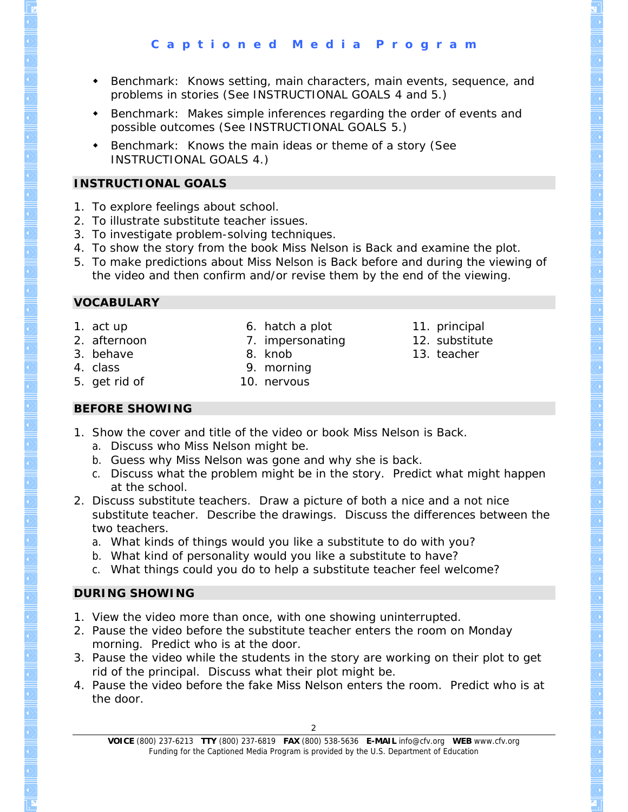- Benchmark: Knows setting, main characters, main events, sequence, and problems in stories (See INSTRUCTIONAL GOALS 4 and 5.)
- Benchmark: Makes simple inferences regarding the order of events and possible outcomes (See INSTRUCTIONAL GOALS 5.)
- Benchmark: Knows the main ideas or theme of a story (See INSTRUCTIONAL GOALS 4.)

# **INSTRUCTIONAL GOALS**

- 1. To explore feelings about school.
- 2. To illustrate substitute teacher issues.
- 3. To investigate problem-solving techniques.
- 4. To show the story from the book *Miss Nelson is Back* and examine the plot.
- 5. To make predictions about *Miss Nelson is Back* before and during the viewing of the video and then confirm and/or revise them by the end of the viewing.

# **VOCABULARY**

- 1. act up
- 2. afternoon
- 3. behave
- 4. class
- 5. get rid of
- 6. hatch a plot
- 7. impersonating
- 8. knob
- 
- 11. principal 12. substitute
	- 13. teacher

9. morning

# 10. nervous

- **BEFORE SHOWING**
- 1. Show the cover and title of the video or book *Miss Nelson is Back.*
	- a. Discuss who Miss Nelson might be.
	- b. Guess why Miss Nelson was gone and why she is back.
	- c. Discuss what the problem might be in the story. Predict what might happen at the school.
- 2. Discuss substitute teachers. Draw a picture of both a nice and a not nice substitute teacher. Describe the drawings. Discuss the differences between the two teachers.
	- a. What kinds of things would you like a substitute to do with you?
	- b. What kind of personality would you like a substitute to have?
	- c. What things could you do to help a substitute teacher feel welcome?

# **DURING SHOWING**

- 1. View the video more than once, with one showing uninterrupted.
- 2. Pause the video before the substitute teacher enters the room on Monday morning. Predict who is at the door.
- 3. Pause the video while the students in the story are working on their plot to get rid of the principal. Discuss what their plot might be.
- 4. Pause the video before the fake Miss Nelson enters the room. Predict who is at the door.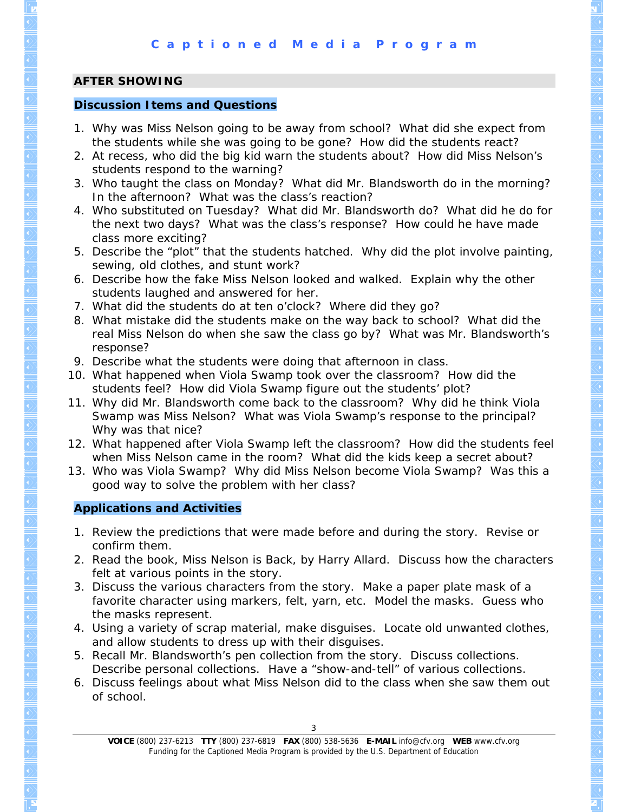## **AFTER SHOWING**

#### **Discussion Items and Questions**

- 1. Why was Miss Nelson going to be away from school? What did she expect from the students while she was going to be gone? How did the students react?
- 2. At recess, who did the big kid warn the students about? How did Miss Nelson's students respond to the warning?
- 3. Who taught the class on Monday? What did Mr. Blandsworth do in the morning? In the afternoon? What was the class's reaction?
- 4. Who substituted on Tuesday? What did Mr. Blandsworth do? What did he do for the next two days? What was the class's response? How could he have made class more exciting?
- 5. Describe the "plot" that the students hatched. Why did the plot involve painting, sewing, old clothes, and stunt work?
- 6. Describe how the fake Miss Nelson looked and walked. Explain why the other students laughed and answered for her.
- 7. What did the students do at ten o'clock? Where did they go?
- 8. What mistake did the students make on the way back to school? What did the real Miss Nelson do when she saw the class go by? What was Mr. Blandsworth's response?
- 9. Describe what the students were doing that afternoon in class.
- 10. What happened when Viola Swamp took over the classroom? How did the students feel? How did Viola Swamp figure out the students' plot?
- 11. Why did Mr. Blandsworth come back to the classroom? Why did he think Viola Swamp was Miss Nelson? What was Viola Swamp's response to the principal? Why was that nice?
- 12. What happened after Viola Swamp left the classroom? How did the students feel when Miss Nelson came in the room? What did the kids keep a secret about?
- 13. Who was Viola Swamp? Why did Miss Nelson become Viola Swamp? Was this a good way to solve the problem with her class?

## **Applications and Activities**

- 1. Review the predictions that were made before and during the story. Revise or confirm them.
- 2. Read the book, *Miss Nelson is Back*, by Harry Allard. Discuss how the characters felt at various points in the story.
- 3. Discuss the various characters from the story. Make a paper plate mask of a favorite character using markers, felt, yarn, etc. Model the masks. Guess who the masks represent.
- 4. Using a variety of scrap material, make disguises. Locate old unwanted clothes, and allow students to dress up with their disguises.
- 5. Recall Mr. Blandsworth's pen collection from the story. Discuss collections. Describe personal collections. Have a "show-and-tell" of various collections.
- 6. Discuss feelings about what Miss Nelson did to the class when she saw them out of school.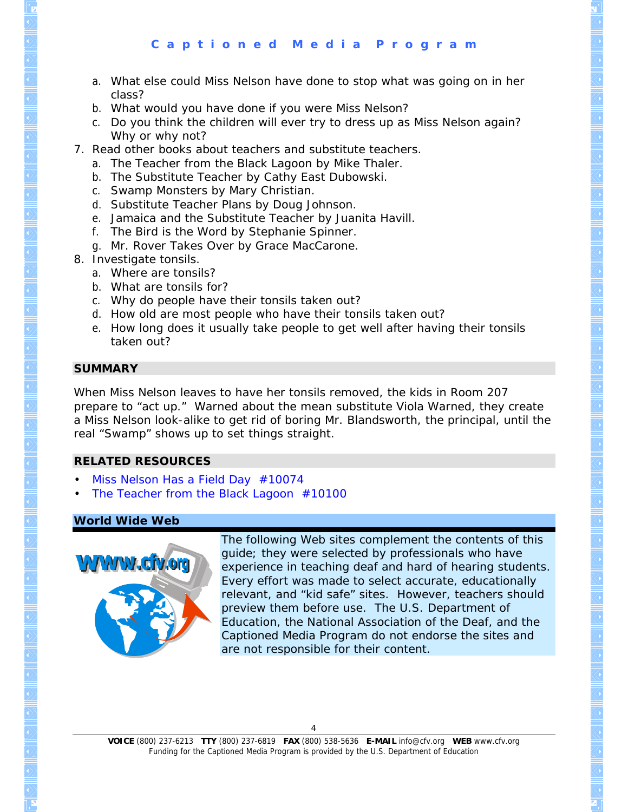- a. What else could Miss Nelson have done to stop what was going on in her class?
- b. What would you have done if you were Miss Nelson?
- c. Do you think the children will ever try to dress up as Miss Nelson again? Why or why not?
- 7. Read other books about teachers and substitute teachers.
	- a. *The Teacher from the Black Lagoon* by Mike Thaler.
	- b. *The Substitute Teacher* by Cathy East Dubowski.
	- c. *Swamp Monsters* by Mary Christian.
	- d. *Substitute Teacher Plans* by Doug Johnson.
	- e. *Jamaica and the Substitute Teacher* by Juanita Havill.
	- f. *The Bird is the Word* by Stephanie Spinner.
	- g. *Mr. Rover Takes Over* by Grace MacCarone.
- 8. Investigate tonsils.
	- a. Where are *tonsils*?
	- b. What are tonsils for?
	- c. Why do people have their tonsils taken out?
	- d. How old are most people who have their tonsils taken out?
	- e. How long does it usually take people to get well after having their tonsils taken out?

#### **SUMMARY**

When Miss Nelson leaves to have her tonsils removed, the kids in Room 207 prepare to "act up." Warned about the mean substitute Viola Warned, they create a Miss Nelson look-alike to get rid of boring Mr. Blandsworth, the principal, until the real "Swamp" shows up to set things straight.

## **RELATED RESOURCES**

- *[Miss Nelson Has a Field Day](http://www.cfv.org/titledetail.asp?dn=10074)* #10074
- *[The Teacher from the Black Lagoon](http://www.cfv.org/titledetail.asp?dn=10100)* #10100

# **World Wide Web**



The following Web sites complement the contents of this guide; they were selected by professionals who have experience in teaching deaf and hard of hearing students. Every effort was made to select accurate, educationally relevant, and "kid safe" sites. However, teachers should preview them before use. The U.S. Department of Education, the National Association of the Deaf, and the Captioned Media Program do not endorse the sites and are not responsible for their content.